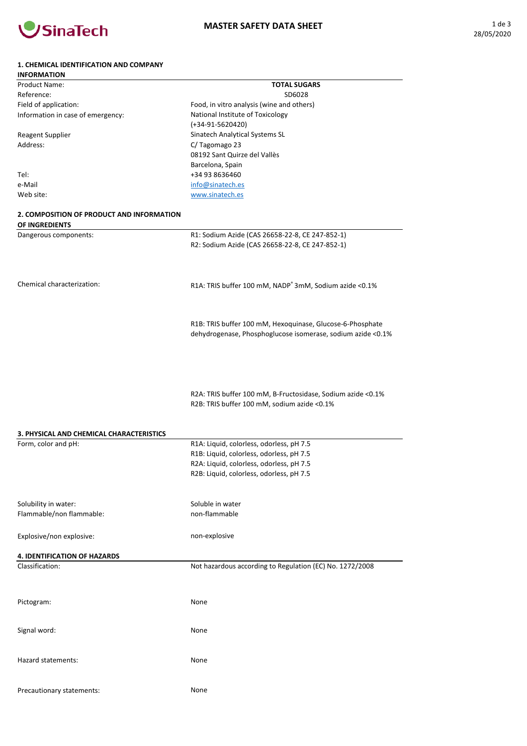

| <b>INFORMATION</b>                        |                                                                    |
|-------------------------------------------|--------------------------------------------------------------------|
| <b>Product Name:</b>                      | <b>TOTAL SUGARS</b>                                                |
| Reference:                                | SD6028                                                             |
| Field of application:                     | Food, in vitro analysis (wine and others)                          |
| Information in case of emergency:         | National Institute of Toxicology                                   |
|                                           | $(+34-91-5620420)$                                                 |
| <b>Reagent Supplier</b>                   | Sinatech Analytical Systems SL                                     |
| Address:                                  | C/Tagomago 23                                                      |
|                                           | 08192 Sant Quirze del Vallès                                       |
|                                           | Barcelona, Spain                                                   |
| Tel:                                      | +34 93 8636460                                                     |
| e-Mail                                    | info@sinatech.es                                                   |
| Web site:                                 | www.sinatech.es                                                    |
| 2. COMPOSITION OF PRODUCT AND INFORMATION |                                                                    |
| OF INGREDIENTS                            |                                                                    |
| Dangerous components:                     | R1: Sodium Azide (CAS 26658-22-8, CE 247-852-1)                    |
|                                           | R2: Sodium Azide (CAS 26658-22-8, CE 247-852-1)                    |
|                                           |                                                                    |
| Chemical characterization:                | R1A: TRIS buffer 100 mM, NADP <sup>+</sup> 3mM, Sodium azide <0.1% |
|                                           |                                                                    |
|                                           | R1B: TRIS buffer 100 mM, Hexoquinase, Glucose-6-Phosphate          |
|                                           | dehydrogenase, Phosphoglucose isomerase, sodium azide <0.1%        |
|                                           |                                                                    |
|                                           |                                                                    |
|                                           |                                                                    |
|                                           |                                                                    |
|                                           |                                                                    |
|                                           | R2A: TRIS buffer 100 mM, B-Fructosidase, Sodium azide <0.1%        |
|                                           | R2B: TRIS buffer 100 mM, sodium azide <0.1%                        |
|                                           |                                                                    |
|                                           |                                                                    |
| 3. PHYSICAL AND CHEMICAL CHARACTERISTICS  |                                                                    |
| Form, color and pH:                       | R1A: Liquid, colorless, odorless, pH 7.5                           |
|                                           | R1B: Liquid, colorless, odorless, pH 7.5                           |
|                                           | R2A: Liquid, colorless, odorless, pH 7.5                           |
|                                           | R2B: Liquid, colorless, odorless, pH 7.5                           |
|                                           |                                                                    |
|                                           |                                                                    |
| Solubility in water:                      | Soluble in water                                                   |
| Flammable/non flammable:                  | non-flammable                                                      |
|                                           |                                                                    |
| Explosive/non explosive:                  | non-explosive                                                      |
|                                           |                                                                    |
| <b>4. IDENTIFICATION OF HAZARDS</b>       |                                                                    |
| Classification:                           | Not hazardous according to Regulation (EC) No. 1272/2008           |
|                                           |                                                                    |
|                                           |                                                                    |
|                                           |                                                                    |
| Pictogram:                                | None                                                               |
|                                           |                                                                    |
|                                           |                                                                    |
| Signal word:                              | None                                                               |
|                                           |                                                                    |
|                                           |                                                                    |
| Hazard statements:                        | None                                                               |
|                                           |                                                                    |
|                                           |                                                                    |
| Precautionary statements:                 | None                                                               |
|                                           |                                                                    |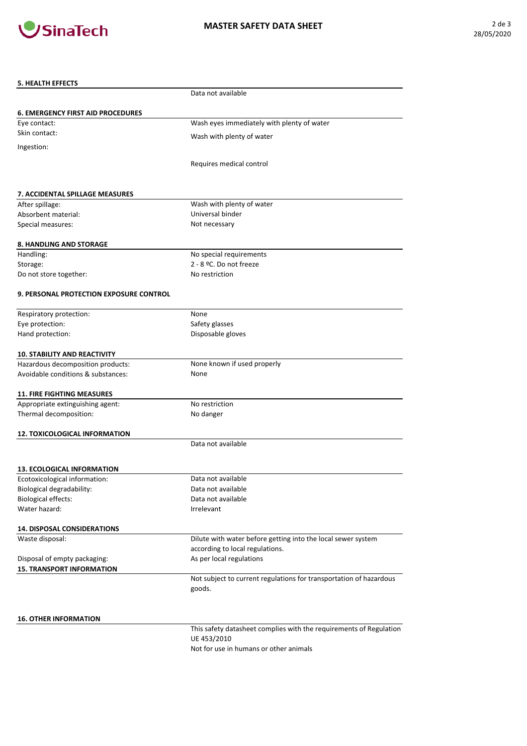

## MASTER SAFETY DATA SHEET **2** de 3

| <b>5. HEALTH EFFECTS</b>                       |                                                                              |
|------------------------------------------------|------------------------------------------------------------------------------|
|                                                | Data not available                                                           |
| <b>6. EMERGENCY FIRST AID PROCEDURES</b>       |                                                                              |
| Eye contact:                                   | Wash eyes immediately with plenty of water                                   |
| Skin contact:                                  | Wash with plenty of water                                                    |
| Ingestion:                                     |                                                                              |
|                                                | Requires medical control                                                     |
| 7. ACCIDENTAL SPILLAGE MEASURES                |                                                                              |
| After spillage:                                | Wash with plenty of water                                                    |
| Absorbent material:                            | Universal binder                                                             |
| Special measures:                              | Not necessary                                                                |
| <b>8. HANDLING AND STORAGE</b>                 |                                                                              |
| Handling:                                      | No special requirements                                                      |
| Storage:                                       | 2 - 8 °C. Do not freeze                                                      |
| Do not store together:                         | No restriction                                                               |
| <b>9. PERSONAL PROTECTION EXPOSURE CONTROL</b> |                                                                              |
| Respiratory protection:                        | None                                                                         |
| Eye protection:                                | Safety glasses                                                               |
| Hand protection:                               | Disposable gloves                                                            |
| <b>10. STABILITY AND REACTIVITY</b>            |                                                                              |
| Hazardous decomposition products:              | None known if used properly                                                  |
| Avoidable conditions & substances:             | None                                                                         |
| <b>11. FIRE FIGHTING MEASURES</b>              |                                                                              |
| Appropriate extinguishing agent:               | No restriction                                                               |
| Thermal decomposition:                         | No danger                                                                    |
| <b>12. TOXICOLOGICAL INFORMATION</b>           |                                                                              |
|                                                | Data not available                                                           |
| <b>13. ECOLOGICAL INFORMATION</b>              |                                                                              |
| Ecotoxicological information:                  | Data not available                                                           |
| Biological degradability:                      | Data not available                                                           |
| <b>Biological effects:</b>                     | Data not available                                                           |
| Water hazard:                                  | Irrelevant                                                                   |
| <b>14. DISPOSAL CONSIDERATIONS</b>             |                                                                              |
| Waste disposal:                                | Dilute with water before getting into the local sewer system                 |
|                                                | according to local regulations.                                              |
| Disposal of empty packaging:                   | As per local regulations                                                     |
| <b>15. TRANSPORT INFORMATION</b>               |                                                                              |
|                                                | Not subject to current regulations for transportation of hazardous<br>goods. |
|                                                |                                                                              |
| <b>16. OTHER INFORMATION</b>                   |                                                                              |
|                                                | This safety datasheet complies with the requirements of Regulation           |
|                                                | UE 453/2010                                                                  |
|                                                | Not for use in humans or other animals                                       |